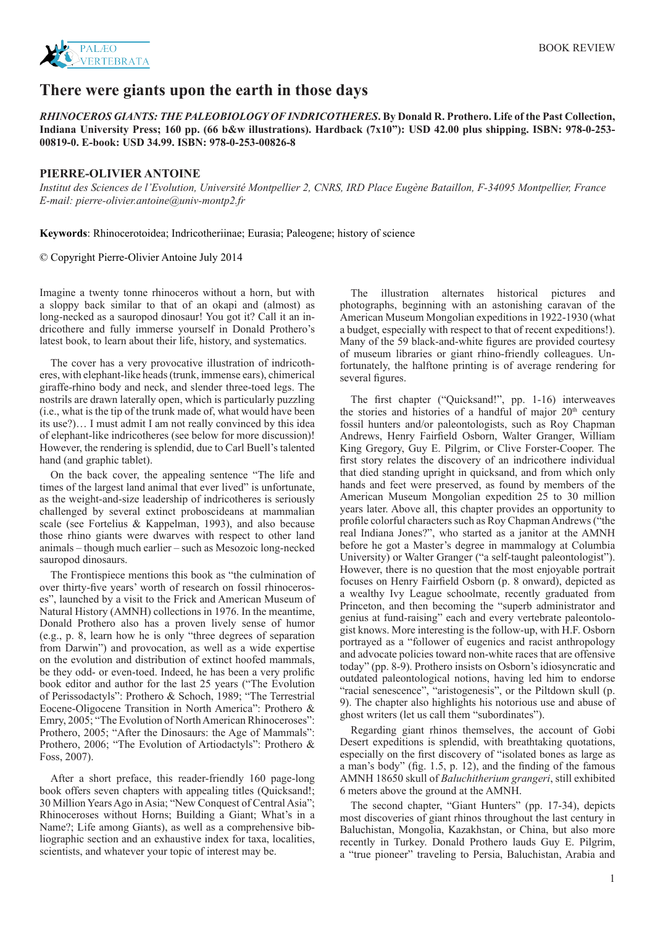

## **There were giants upon the earth in those days**

*RHINOCEROS GIANTS: THE PALEOBIOLOGY OF INDRICOTHERES***. By Donald R. Prothero. Life of the Past Collection, Indiana University Press; 160 pp. (66 b&w illustrations). Hardback (7x10"): USD 42.00 plus shipping. ISBN: 978-0-253- 00819-0. E-book: USD 34.99. ISBN: 978-0-253-00826-8**

## **PIERRE-OLIVIER ANTOINE**

*Institut des Sciences de l'Evolution, Université Montpellier 2, CNRS, IRD Place Eugène Bataillon, F-34095 Montpellier, France E-mail: pierre-olivier.antoine@univ-montp2.fr*

**Keywords**: Rhinocerotoidea; Indricotheriinae; Eurasia; Paleogene; history of science

© Copyright Pierre-Olivier Antoine July 2014

Imagine a twenty tonne rhinoceros without a horn, but with a sloppy back similar to that of an okapi and (almost) as long-necked as a sauropod dinosaur! You got it? Call it an indricothere and fully immerse yourself in Donald Prothero's latest book, to learn about their life, history, and systematics.

The cover has a very provocative illustration of indricotheres, with elephant-like heads (trunk, immense ears), chimerical giraffe-rhino body and neck, and slender three-toed legs. The nostrils are drawn laterally open, which is particularly puzzling (i.e., what is the tip of the trunk made of, what would have been its use?)… I must admit I am not really convinced by this idea of elephant-like indricotheres (see below for more discussion)! However, the rendering is splendid, due to Carl Buell's talented hand (and graphic tablet).

On the back cover, the appealing sentence "The life and times of the largest land animal that ever lived" is unfortunate, as the weight-and-size leadership of indricotheres is seriously challenged by several extinct proboscideans at mammalian scale (see Fortelius & Kappelman, 1993), and also because those rhino giants were dwarves with respect to other land animals – though much earlier – such as Mesozoic long-necked sauropod dinosaurs.

The Frontispiece mentions this book as "the culmination of over thirty-five years' worth of research on fossil rhinoceroses", launched by a visit to the Frick and American Museum of Natural History (AMNH) collections in 1976. In the meantime, Donald Prothero also has a proven lively sense of humor (e.g., p. 8, learn how he is only "three degrees of separation from Darwin") and provocation, as well as a wide expertise on the evolution and distribution of extinct hoofed mammals, be they odd- or even-toed. Indeed, he has been a very prolific book editor and author for the last 25 years ("The Evolution of Perissodactyls": Prothero & Schoch, 1989; "The Terrestrial Eocene-Oligocene Transition in North America": Prothero & Emry, 2005; "The Evolution of North American Rhinoceroses": Prothero, 2005; "After the Dinosaurs: the Age of Mammals": Prothero, 2006; "The Evolution of Artiodactyls": Prothero & Foss, 2007).

After a short preface, this reader-friendly 160 page-long book offers seven chapters with appealing titles (Ouicksand!: 30 Million Years Ago in Asia; "New Conquest of Central Asia"; Rhinoceroses without Horns; Building a Giant; What's in a Name?; Life among Giants), as well as a comprehensive bibliographic section and an exhaustive index for taxa, localities, scientists, and whatever your topic of interest may be.

The illustration alternates historical pictures and photographs, beginning with an astonishing caravan of the American Museum Mongolian expeditions in 1922-1930 (what a budget, especially with respect to that of recent expeditions!). Many of the 59 black-and-white figures are provided courtesy of museum libraries or giant rhino-friendly colleagues. Unfortunately, the halftone printing is of average rendering for several figures.

The first chapter ("Quicksand!", pp. 1-16) interweaves the stories and histories of a handful of major  $20<sup>th</sup>$  century fossil hunters and/or paleontologists, such as Roy Chapman Andrews, Henry Fairfield Osborn, Walter Granger, William King Gregory, Guy E. Pilgrim, or Clive Forster-Cooper. The first story relates the discovery of an indricothere individual that died standing upright in quicksand, and from which only hands and feet were preserved, as found by members of the American Museum Mongolian expedition 25 to 30 million years later. Above all, this chapter provides an opportunity to profile colorful characters such as Roy Chapman Andrews ("the real Indiana Jones?", who started as a janitor at the AMNH before he got a Master's degree in mammalogy at Columbia University) or Walter Granger ("a self-taught paleontologist"). However, there is no question that the most enjoyable portrait focuses on Henry Fairfield Osborn (p. 8 onward), depicted as a wealthy Ivy League schoolmate, recently graduated from Princeton, and then becoming the "superb administrator and genius at fund-raising" each and every vertebrate paleontologist knows. More interesting is the follow-up, with H.F. Osborn portrayed as a "follower of eugenics and racist anthropology and advocate policies toward non-white races that are offensive today" (pp. 8-9). Prothero insists on Osborn's idiosyncratic and outdated paleontological notions, having led him to endorse "racial senescence", "aristogenesis", or the Piltdown skull (p. 9). The chapter also highlights his notorious use and abuse of ghost writers (let us call them "subordinates").

Regarding giant rhinos themselves, the account of Gobi Desert expeditions is splendid, with breathtaking quotations, especially on the first discovery of "isolated bones as large as a man's body" (fig. 1.5, p. 12), and the finding of the famous AMNH 18650 skull of *Baluchitherium grangeri*, still exhibited 6 meters above the ground at the AMNH.

The second chapter, "Giant Hunters" (pp. 17-34), depicts most discoveries of giant rhinos throughout the last century in Baluchistan, Mongolia, Kazakhstan, or China, but also more recently in Turkey. Donald Prothero lauds Guy E. Pilgrim, a "true pioneer" traveling to Persia, Baluchistan, Arabia and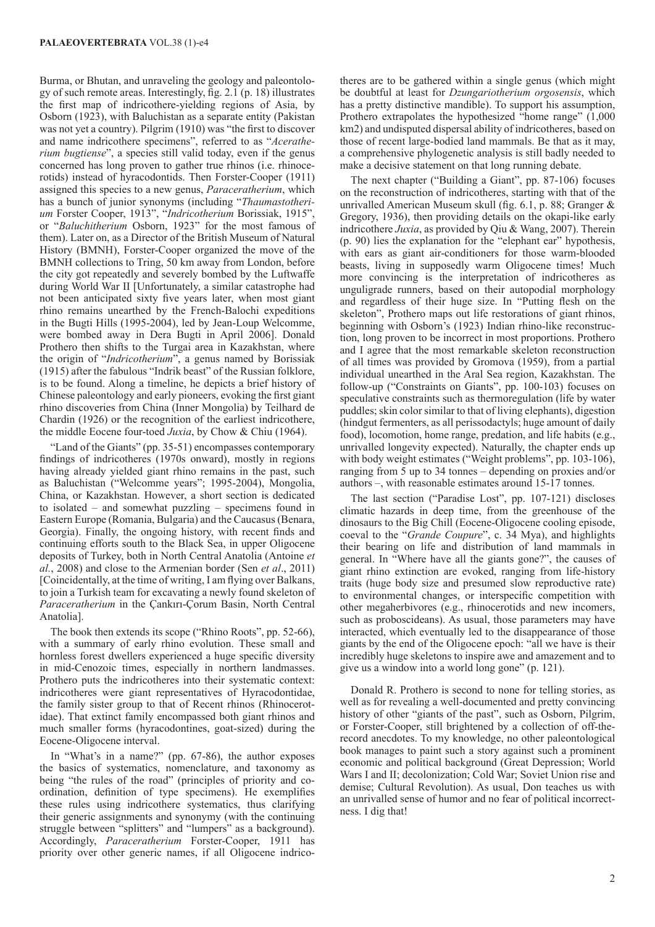Burma, or Bhutan, and unraveling the geology and paleontology of such remote areas. Interestingly, fig. 2.1 (p. 18) illustrates the first map of indricothere-yielding regions of Asia, by Osborn (1923), with Baluchistan as a separate entity (Pakistan was not yet a country). Pilgrim (1910) was "the first to discover and name indricothere specimens", referred to as "*Aceratherium bugtiense*", a species still valid today, even if the genus concerned has long proven to gather true rhinos (i.e. rhinocerotids) instead of hyracodontids. Then Forster-Cooper (1911) assigned this species to a new genus, *Paraceratherium*, which has a bunch of junior synonyms (including "*Thaumastotherium* Forster Cooper, 1913", "*Indricotherium* Borissiak, 1915", or "*Baluchitherium* Osborn, 1923" for the most famous of them). Later on, as a Director of the British Museum of Natural History (BMNH), Forster-Cooper organized the move of the BMNH collections to Tring, 50 km away from London, before the city got repeatedly and severely bombed by the Luftwaffe during World War II [Unfortunately, a similar catastrophe had not been anticipated sixty five years later, when most giant rhino remains unearthed by the French-Balochi expeditions in the Bugti Hills (1995-2004), led by Jean-Loup Welcomme, were bombed away in Dera Bugti in April 2006]. Donald Prothero then shifts to the Turgai area in Kazakhstan, where the origin of "*Indricotherium*", a genus named by Borissiak (1915) after the fabulous "Indrik beast" of the Russian folklore, is to be found. Along a timeline, he depicts a brief history of Chinese paleontology and early pioneers, evoking the first giant rhino discoveries from China (Inner Mongolia) by Teilhard de Chardin (1926) or the recognition of the earliest indricothere, the middle Eocene four-toed *Juxia*, by Chow & Chiu (1964).

"Land of the Giants" (pp. 35-51) encompasses contemporary findings of indricotheres (1970s onward), mostly in regions having already yielded giant rhino remains in the past, such as Baluchistan ("Welcomme years"; 1995-2004), Mongolia, China, or Kazakhstan. However, a short section is dedicated to isolated – and somewhat puzzling – specimens found in Eastern Europe (Romania, Bulgaria) and the Caucasus (Benara, Georgia). Finally, the ongoing history, with recent finds and continuing efforts south to the Black Sea, in upper Oligocene deposits of Turkey, both in North Central Anatolia (Antoine *et al.*, 2008) and close to the Armenian border (Sen *et al*., 2011) [Coincidentally, at the time of writing, I am flying over Balkans, to join a Turkish team for excavating a newly found skeleton of *Paraceratherium* in the Çankırı-Çorum Basin, North Central Anatolia].

The book then extends its scope ("Rhino Roots", pp. 52-66), with a summary of early rhino evolution. These small and hornless forest dwellers experienced a huge specific diversity in mid-Cenozoic times, especially in northern landmasses. Prothero puts the indricotheres into their systematic context: indricotheres were giant representatives of Hyracodontidae, the family sister group to that of Recent rhinos (Rhinocerotidae). That extinct family encompassed both giant rhinos and much smaller forms (hyracodontines, goat-sized) during the Eocene-Oligocene interval.

In "What's in a name?" (pp. 67-86), the author exposes the basics of systematics, nomenclature, and taxonomy as being "the rules of the road" (principles of priority and coordination, definition of type specimens). He exemplifies these rules using indricothere systematics, thus clarifying their generic assignments and synonymy (with the continuing struggle between "splitters" and "lumpers" as a background). Accordingly, *Paraceratherium* Forster-Cooper, 1911 has priority over other generic names, if all Oligocene indrico-

theres are to be gathered within a single genus (which might be doubtful at least for *Dzungariotherium orgosensis*, which has a pretty distinctive mandible). To support his assumption, Prothero extrapolates the hypothesized "home range" (1,000 km2) and undisputed dispersal ability of indricotheres, based on those of recent large-bodied land mammals. Be that as it may, a comprehensive phylogenetic analysis is still badly needed to make a decisive statement on that long running debate.

The next chapter ("Building a Giant", pp. 87-106) focuses on the reconstruction of indricotheres, starting with that of the unrivalled American Museum skull (fig. 6.1, p. 88; Granger & Gregory, 1936), then providing details on the okapi-like early indricothere *Juxia*, as provided by Qiu & Wang, 2007). Therein (p. 90) lies the explanation for the "elephant ear" hypothesis, with ears as giant air-conditioners for those warm-blooded beasts, living in supposedly warm Oligocene times! Much more convincing is the interpretation of indricotheres as unguligrade runners, based on their autopodial morphology and regardless of their huge size. In "Putting flesh on the skeleton", Prothero maps out life restorations of giant rhinos, beginning with Osborn's (1923) Indian rhino-like reconstruction, long proven to be incorrect in most proportions. Prothero and I agree that the most remarkable skeleton reconstruction of all times was provided by Gromova (1959), from a partial individual unearthed in the Aral Sea region, Kazakhstan. The follow-up ("Constraints on Giants", pp. 100-103) focuses on speculative constraints such as thermoregulation (life by water puddles; skin color similar to that of living elephants), digestion (hindgut fermenters, as all perissodactyls; huge amount of daily food), locomotion, home range, predation, and life habits (e.g., unrivalled longevity expected). Naturally, the chapter ends up with body weight estimates ("Weight problems", pp. 103-106), ranging from 5 up to 34 tonnes – depending on proxies and/or authors –, with reasonable estimates around 15-17 tonnes.

The last section ("Paradise Lost", pp. 107-121) discloses climatic hazards in deep time, from the greenhouse of the dinosaurs to the Big Chill (Eocene-Oligocene cooling episode, coeval to the "*Grande Coupure*", c. 34 Mya), and highlights their bearing on life and distribution of land mammals in general. In "Where have all the giants gone?", the causes of giant rhino extinction are evoked, ranging from life-history traits (huge body size and presumed slow reproductive rate) to environmental changes, or interspecific competition with other megaherbivores (e.g., rhinocerotids and new incomers, such as proboscideans). As usual, those parameters may have interacted, which eventually led to the disappearance of those giants by the end of the Oligocene epoch: "all we have is their incredibly huge skeletons to inspire awe and amazement and to give us a window into a world long gone" (p. 121).

Donald R. Prothero is second to none for telling stories, as well as for revealing a well-documented and pretty convincing history of other "giants of the past", such as Osborn, Pilgrim, or Forster-Cooper, still brightened by a collection of off-therecord anecdotes. To my knowledge, no other paleontological book manages to paint such a story against such a prominent economic and political background (Great Depression; World Wars I and II; decolonization; Cold War; Soviet Union rise and demise; Cultural Revolution). As usual, Don teaches us with an unrivalled sense of humor and no fear of political incorrectness. I dig that!